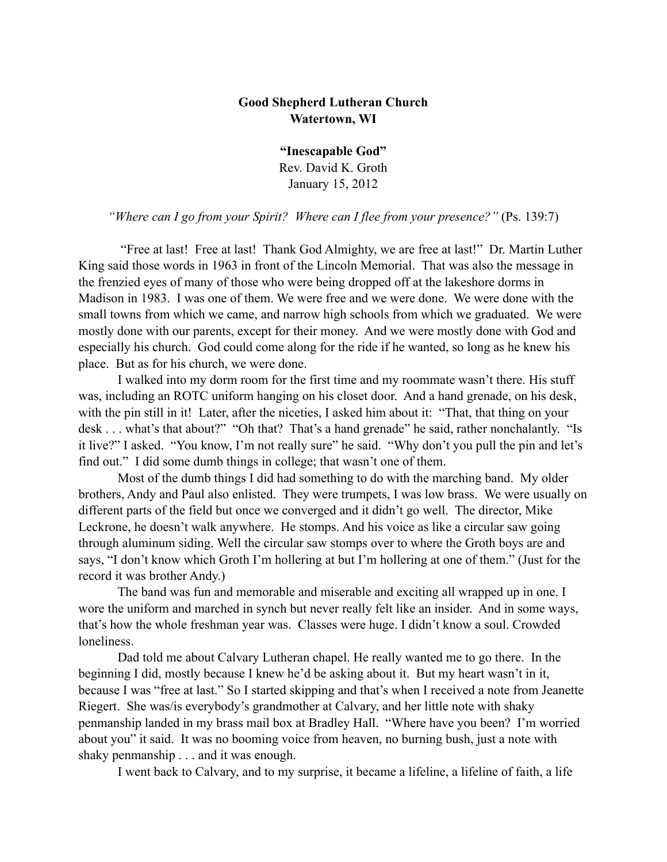## **Good Shepherd Lutheran Church Watertown, WI**

**"Inescapable God"** Rev. David K. Groth January 15, 2012

*"Where can I go from your Spirit? Where can I flee from your presence?"* (Ps. 139:7)

 "Free at last! Free at last! Thank God Almighty, we are free at last!" Dr. Martin Luther King said those words in 1963 in front of the Lincoln Memorial. That was also the message in the frenzied eyes of many of those who were being dropped off at the lakeshore dorms in Madison in 1983. I was one of them. We were free and we were done. We were done with the small towns from which we came, and narrow high schools from which we graduated. We were mostly done with our parents, except for their money. And we were mostly done with God and especially his church. God could come along for the ride if he wanted, so long as he knew his place. But as for his church, we were done.

I walked into my dorm room for the first time and my roommate wasn't there. His stuff was, including an ROTC uniform hanging on his closet door. And a hand grenade, on his desk, with the pin still in it! Later, after the niceties, I asked him about it: "That, that thing on your desk . . . what's that about?" "Oh that? That's a hand grenade" he said, rather nonchalantly. "Is it live?" I asked. "You know, I'm not really sure" he said. "Why don't you pull the pin and let's find out." I did some dumb things in college; that wasn't one of them.

Most of the dumb things I did had something to do with the marching band. My older brothers, Andy and Paul also enlisted. They were trumpets, I was low brass. We were usually on different parts of the field but once we converged and it didn't go well. The director, Mike Leckrone, he doesn't walk anywhere. He stomps. And his voice as like a circular saw going through aluminum siding. Well the circular saw stomps over to where the Groth boys are and says, "I don't know which Groth I'm hollering at but I'm hollering at one of them." (Just for the record it was brother Andy.)

The band was fun and memorable and miserable and exciting all wrapped up in one. I wore the uniform and marched in synch but never really felt like an insider. And in some ways, that's how the whole freshman year was. Classes were huge. I didn't know a soul. Crowded loneliness.

Dad told me about Calvary Lutheran chapel. He really wanted me to go there. In the beginning I did, mostly because I knew he'd be asking about it. But my heart wasn't in it, because I was "free at last." So I started skipping and that's when I received a note from Jeanette Riegert. She was/is everybody's grandmother at Calvary, and her little note with shaky penmanship landed in my brass mail box at Bradley Hall. "Where have you been? I'm worried about you" it said. It was no booming voice from heaven, no burning bush, just a note with shaky penmanship . . . and it was enough.

I went back to Calvary, and to my surprise, it became a lifeline, a lifeline of faith, a life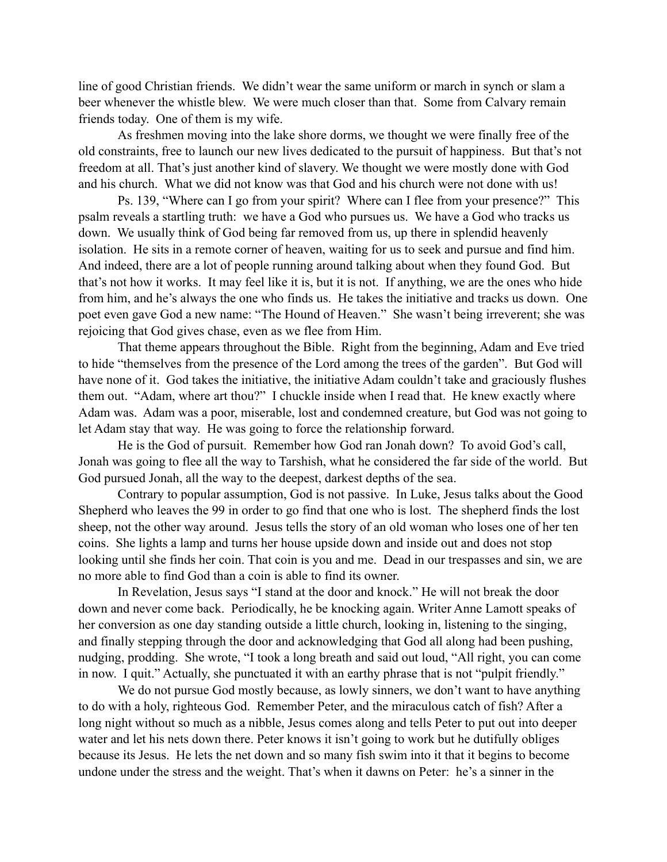line of good Christian friends. We didn't wear the same uniform or march in synch or slam a beer whenever the whistle blew. We were much closer than that. Some from Calvary remain friends today. One of them is my wife.

As freshmen moving into the lake shore dorms, we thought we were finally free of the old constraints, free to launch our new lives dedicated to the pursuit of happiness. But that's not freedom at all. That's just another kind of slavery. We thought we were mostly done with God and his church. What we did not know was that God and his church were not done with us!

Ps. 139, "Where can I go from your spirit? Where can I flee from your presence?" This psalm reveals a startling truth: we have a God who pursues us. We have a God who tracks us down. We usually think of God being far removed from us, up there in splendid heavenly isolation. He sits in a remote corner of heaven, waiting for us to seek and pursue and find him. And indeed, there are a lot of people running around talking about when they found God. But that's not how it works. It may feel like it is, but it is not. If anything, we are the ones who hide from him, and he's always the one who finds us. He takes the initiative and tracks us down. One poet even gave God a new name: "The Hound of Heaven." She wasn't being irreverent; she was rejoicing that God gives chase, even as we flee from Him.

That theme appears throughout the Bible. Right from the beginning, Adam and Eve tried to hide "themselves from the presence of the Lord among the trees of the garden". But God will have none of it. God takes the initiative, the initiative Adam couldn't take and graciously flushes them out. "Adam, where art thou?" I chuckle inside when I read that. He knew exactly where Adam was. Adam was a poor, miserable, lost and condemned creature, but God was not going to let Adam stay that way. He was going to force the relationship forward.

He is the God of pursuit. Remember how God ran Jonah down? To avoid God's call, Jonah was going to flee all the way to Tarshish, what he considered the far side of the world. But God pursued Jonah, all the way to the deepest, darkest depths of the sea.

Contrary to popular assumption, God is not passive. In Luke, Jesus talks about the Good Shepherd who leaves the 99 in order to go find that one who is lost. The shepherd finds the lost sheep, not the other way around. Jesus tells the story of an old woman who loses one of her ten coins. She lights a lamp and turns her house upside down and inside out and does not stop looking until she finds her coin. That coin is you and me. Dead in our trespasses and sin, we are no more able to find God than a coin is able to find its owner.

In Revelation, Jesus says "I stand at the door and knock." He will not break the door down and never come back. Periodically, he be knocking again. Writer Anne Lamott speaks of her conversion as one day standing outside a little church, looking in, listening to the singing, and finally stepping through the door and acknowledging that God all along had been pushing, nudging, prodding. She wrote, "I took a long breath and said out loud, "All right, you can come in now. I quit." Actually, she punctuated it with an earthy phrase that is not "pulpit friendly."

We do not pursue God mostly because, as lowly sinners, we don't want to have anything to do with a holy, righteous God. Remember Peter, and the miraculous catch of fish? After a long night without so much as a nibble, Jesus comes along and tells Peter to put out into deeper water and let his nets down there. Peter knows it isn't going to work but he dutifully obliges because its Jesus. He lets the net down and so many fish swim into it that it begins to become undone under the stress and the weight. That's when it dawns on Peter: he's a sinner in the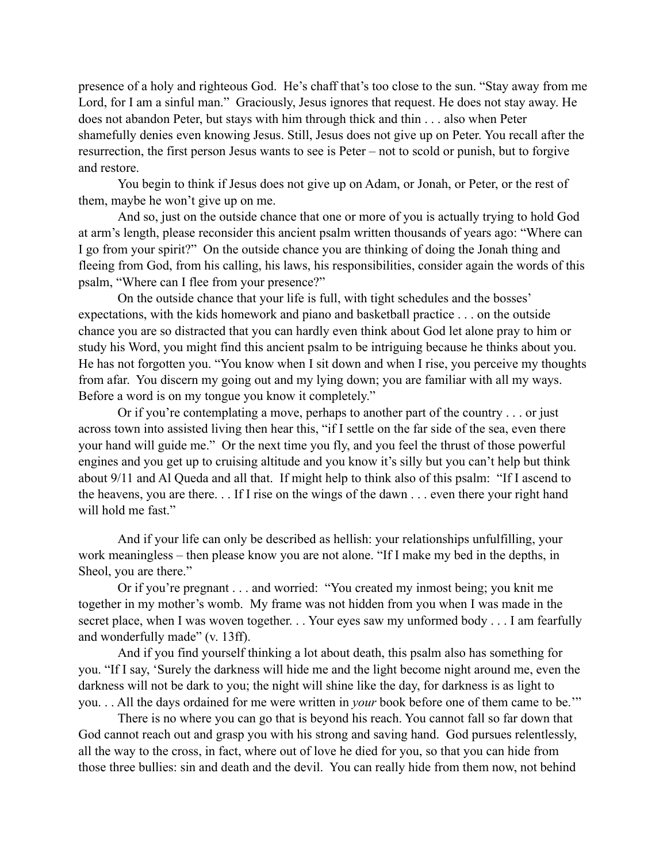presence of a holy and righteous God. He's chaff that's too close to the sun. "Stay away from me Lord, for I am a sinful man." Graciously, Jesus ignores that request. He does not stay away. He does not abandon Peter, but stays with him through thick and thin . . . also when Peter shamefully denies even knowing Jesus. Still, Jesus does not give up on Peter. You recall after the resurrection, the first person Jesus wants to see is Peter – not to scold or punish, but to forgive and restore.

You begin to think if Jesus does not give up on Adam, or Jonah, or Peter, or the rest of them, maybe he won't give up on me.

And so, just on the outside chance that one or more of you is actually trying to hold God at arm's length, please reconsider this ancient psalm written thousands of years ago: "Where can I go from your spirit?" On the outside chance you are thinking of doing the Jonah thing and fleeing from God, from his calling, his laws, his responsibilities, consider again the words of this psalm, "Where can I flee from your presence?"

On the outside chance that your life is full, with tight schedules and the bosses' expectations, with the kids homework and piano and basketball practice . . . on the outside chance you are so distracted that you can hardly even think about God let alone pray to him or study his Word, you might find this ancient psalm to be intriguing because he thinks about you. He has not forgotten you. "You know when I sit down and when I rise, you perceive my thoughts from afar. You discern my going out and my lying down; you are familiar with all my ways. Before a word is on my tongue you know it completely."

Or if you're contemplating a move, perhaps to another part of the country . . . or just across town into assisted living then hear this, "if I settle on the far side of the sea, even there your hand will guide me." Or the next time you fly, and you feel the thrust of those powerful engines and you get up to cruising altitude and you know it's silly but you can't help but think about 9/11 and Al Queda and all that. If might help to think also of this psalm: "If I ascend to the heavens, you are there. . . If I rise on the wings of the dawn . . . even there your right hand will hold me fast."

And if your life can only be described as hellish: your relationships unfulfilling, your work meaningless – then please know you are not alone. "If I make my bed in the depths, in Sheol, you are there."

Or if you're pregnant . . . and worried: "You created my inmost being; you knit me together in my mother's womb. My frame was not hidden from you when I was made in the secret place, when I was woven together. . . Your eyes saw my unformed body . . . I am fearfully and wonderfully made" (v. 13ff).

And if you find yourself thinking a lot about death, this psalm also has something for you. "If I say, 'Surely the darkness will hide me and the light become night around me, even the darkness will not be dark to you; the night will shine like the day, for darkness is as light to you. . . All the days ordained for me were written in *your* book before one of them came to be.'"

There is no where you can go that is beyond his reach. You cannot fall so far down that God cannot reach out and grasp you with his strong and saving hand. God pursues relentlessly, all the way to the cross, in fact, where out of love he died for you, so that you can hide from those three bullies: sin and death and the devil. You can really hide from them now, not behind